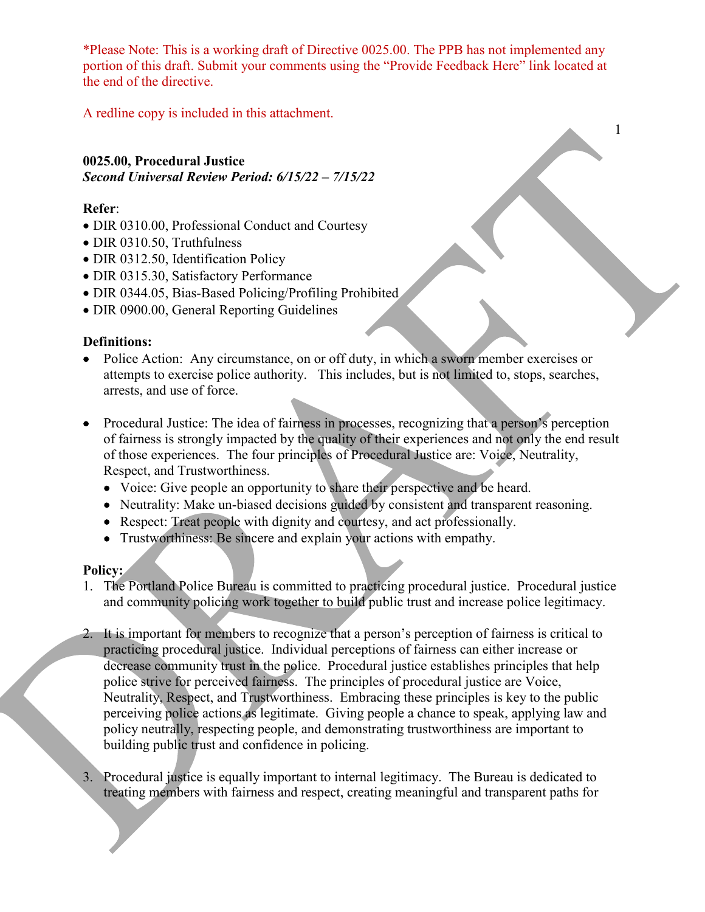\*Please Note: This is a working draft of Directive 0025.00. The PPB has not implemented any portion of this draft. Submit your comments using the "Provide Feedback Here" link located at the end of the directive.

1

A redline copy is included in this attachment.

## **0025.00, Procedural Justice** *Second Universal Review Period: 6/15/22 – 7/15/22*

## **Refer**:

- DIR 0310.00, Professional Conduct and Courtesy
- DIR 0310.50, Truthfulness
- DIR 0312.50, Identification Policy
- DIR 0315.30, Satisfactory Performance
- DIR 0344.05, Bias-Based Policing/Profiling Prohibited
- DIR 0900.00, General Reporting Guidelines

## **Definitions:**

- Police Action: Any circumstance, on or off duty, in which a sworn member exercises or attempts to exercise police authority. This includes, but is not limited to, stops, searches, arrests, and use of force.
- Procedural Justice: The idea of fairness in processes, recognizing that a person's perception of fairness is strongly impacted by the quality of their experiences and not only the end result of those experiences. The four principles of Procedural Justice are: Voice, Neutrality, Respect, and Trustworthiness.
	- Voice: Give people an opportunity to share their perspective and be heard.
	- Neutrality: Make un-biased decisions guided by consistent and transparent reasoning.
	- Respect: Treat people with dignity and courtesy, and act professionally.
	- Trustworthiness: Be sincere and explain your actions with empathy.

## **Policy:**

- 1. The Portland Police Bureau is committed to practicing procedural justice. Procedural justice and community policing work together to build public trust and increase police legitimacy.
- 2. It is important for members to recognize that a person's perception of fairness is critical to practicing procedural justice. Individual perceptions of fairness can either increase or decrease community trust in the police. Procedural justice establishes principles that help police strive for perceived fairness. The principles of procedural justice are Voice, Neutrality, Respect, and Trustworthiness. Embracing these principles is key to the public perceiving police actions as legitimate. Giving people a chance to speak, applying law and policy neutrally, respecting people, and demonstrating trustworthiness are important to building public trust and confidence in policing.
- 3. Procedural justice is equally important to internal legitimacy. The Bureau is dedicated to treating members with fairness and respect, creating meaningful and transparent paths for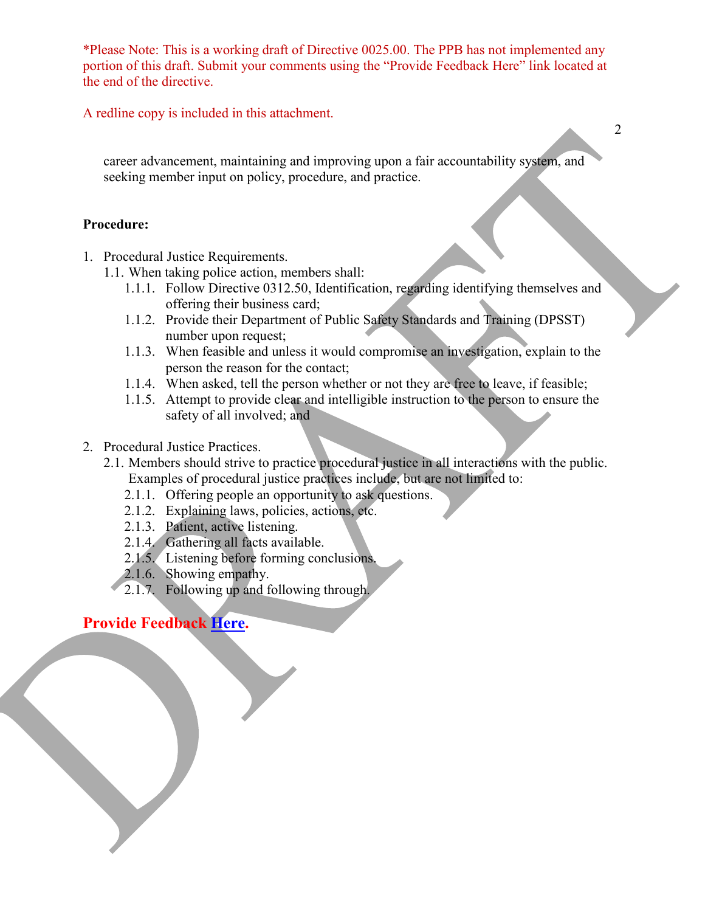\*Please Note: This is a working draft of Directive 0025.00. The PPB has not implemented any portion of this draft. Submit your comments using the "Provide Feedback Here" link located at the end of the directive.

A redline copy is included in this attachment.

career advancement, maintaining and improving upon a fair accountability system, and seeking member input on policy, procedure, and practice.

## **Procedure:**

- 1. Procedural Justice Requirements.
	- 1.1. When taking police action, members shall:
		- 1.1.1. Follow Directive 0312.50, Identification, regarding identifying themselves and offering their business card;
		- 1.1.2. Provide their Department of Public Safety Standards and Training (DPSST) number upon request;
		- 1.1.3. When feasible and unless it would compromise an investigation, explain to the person the reason for the contact;
		- 1.1.4. When asked, tell the person whether or not they are free to leave, if feasible;
		- 1.1.5. Attempt to provide clear and intelligible instruction to the person to ensure the safety of all involved; and
- 2. Procedural Justice Practices.
	- 2.1. Members should strive to practice procedural justice in all interactions with the public. Examples of procedural justice practices include, but are not limited to:
		- 2.1.1. Offering people an opportunity to ask questions.
		- 2.1.2. Explaining laws, policies, actions, etc.
		- 2.1.3. Patient, active listening.
		- 2.1.4. Gathering all facts available.
		- 2.1.5. Listening before forming conclusions.
		- 2.1.6. Showing empathy.
		- 2.1.7. Following up and following through.

## **Provide Feedback [Here.](https://www.surveymonkey.com/r/PYN389N)**

2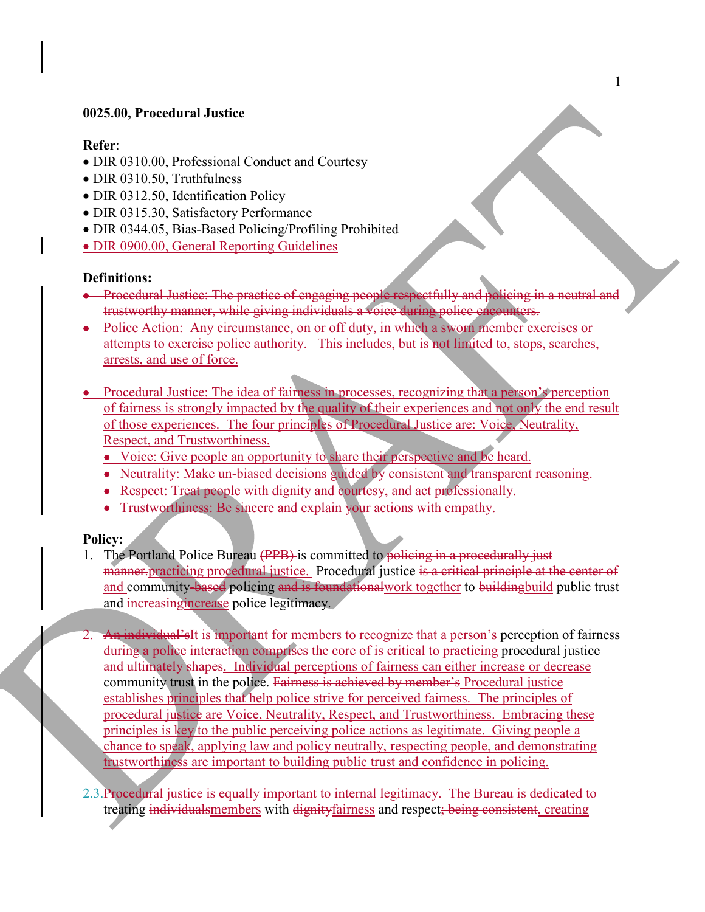### **0025.00, Procedural Justice**

### **Refer**:

- DIR 0310.00, Professional Conduct and Courtesy
- DIR 0310.50, Truthfulness
- DIR 0312.50, Identification Policy
- DIR 0315.30, Satisfactory Performance
- DIR 0344.05, Bias-Based Policing/Profiling Prohibited
- DIR 0900.00, General Reporting Guidelines

### **Definitions:**

- Procedural Justice: The practice of engaging people respectfully and policing in a neutral and trustworthy manner, while giving individuals a voice during police encounters.
- Police Action: Any circumstance, on or off duty, in which a sworn member exercises or attempts to exercise police authority. This includes, but is not limited to, stops, searches, arrests, and use of force.
- Procedural Justice: The idea of fairness in processes, recognizing that a person's perception of fairness is strongly impacted by the quality of their experiences and not only the end result of those experiences. The four principles of Procedural Justice are: Voice, Neutrality, Respect, and Trustworthiness.
	- Voice: Give people an opportunity to share their perspective and be heard.
	- Neutrality: Make un-biased decisions guided by consistent and transparent reasoning.
	- Respect: Treat people with dignity and courtesy, and act professionally.
	- Trustworthiness: Be sincere and explain your actions with empathy.

### **Policy:**

- 1. The Portland Police Bureau (PPB) is committed to policing in a procedurally just manner. practicing procedural justice. Procedural justice is a critical principle at the center of and community-based policing and is foundational work together to building build public trust and increasing increase police legitimacy.
- 2. An individual's is important for members to recognize that a person's perception of fairness during a police interaction comprises the core of is critical to practicing procedural justice and ultimately shapes. Individual perceptions of fairness can either increase or decrease community trust in the police. Fairness is achieved by member's Procedural justice establishes principles that help police strive for perceived fairness. The principles of procedural justice are Voice, Neutrality, Respect, and Trustworthiness. Embracing these principles is key to the public perceiving police actions as legitimate. Giving people a chance to speak, applying law and policy neutrally, respecting people, and demonstrating trustworthiness are important to building public trust and confidence in policing.
- 2.3.Procedural justice is equally important to internal legitimacy. The Bureau is dedicated to treating individualsmembers with dignityfairness and respect; being consistent, creating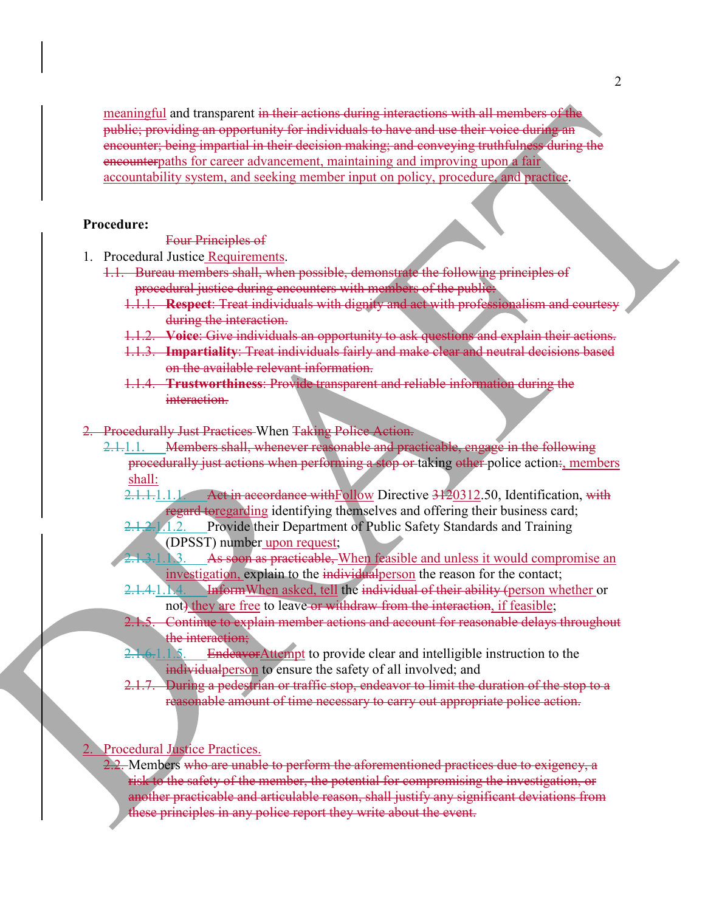meaningful and transparent in their actions during interactions with all members of the public; providing an opportunity for individuals to have and use their voice during an encounter; being impartial in their decision making; and conveying truthfulness during the encounterpaths for career advancement, maintaining and improving upon a fair accountability system, and seeking member input on policy, procedure, and practice.

#### **Procedure:**

Four Principles of

- 1. Procedural Justice Requirements.
	- 1.1. Bureau members shall, when possible, demonstrate the following principles of procedural justice during encounters with members of the public.
		- 1.1.1. **Respect**: Treat individuals with dignity and act with professionalism and courtesy during the interaction.
		- 1.1.2. **Voice**: Give individuals an opportunity to ask questions and explain their actions.
		- 1.1.3. **Impartiality**: Treat individuals fairly and make clear and neutral decisions based on the available relevant information.
		- 1.1.4. **Trustworthiness**: Provide transparent and reliable information during the interaction.
- 2. Procedurally Just Practices When Taking Police Action.
	- 2.1.1.1. Members shall, whenever reasonable and practicable, engage in the following procedurally just actions when performing a stop or taking other police action:, members shall:
		- 2.1.1.1.1.1.1. Act in accordance with Follow Directive 3120312.50, Identification, with regard toregarding identifying themselves and offering their business card;
		- 2.1.2.1.1.2. Provide their Department of Public Safety Standards and Training (DPSST) number upon request;
		- 2.1.3.1.1.3. As soon as practicable, When feasible and unless it would compromise an investigation, explain to the individual person the reason for the contact;
			- 2.1.4.1.1.4. InformWhen asked, tell the individual of their ability (person whether or not) they are free to leave or withdraw from the interaction, if feasible;
			- 2.1.5. Continue to explain member actions and account for reasonable delays throughout the interaction;
			- 2.1.6.1.1.5. EndeavorAttempt to provide clear and intelligible instruction to the individualperson to ensure the safety of all involved; and
			- 2.1.7. During a pedestrian or traffic stop, endeavor to limit the duration of the stop to a reasonable amount of time necessary to carry out appropriate police action.

#### Procedural Justice Practices.

2.2. Members who are unable to perform the aforementioned practices due to exigency, a risk to the safety of the member, the potential for compromising the investigation, or another practicable and articulable reason, shall justify any significant deviations from these principles in any police report they write about the event.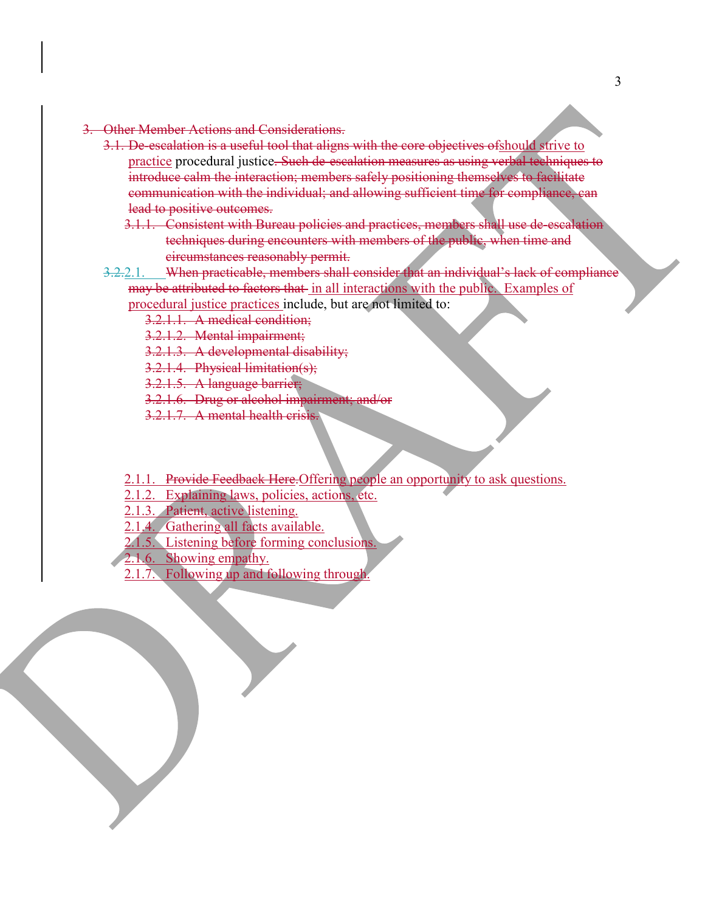- 3. Other Member Actions and Considerations.
	- 3.1. De-escalation is a useful tool that aligns with the core objectives ofshould strive to practice procedural justice. Such de-escalation measures as using verbal techniques to introduce calm the interaction; members safely positioning themselves to facilitate communication with the individual; and allowing sufficient time for compliance, can lead to positive outcomes.
		- 3.1.1. Consistent with Bureau policies and practices, members shall use de-escalation techniques during encounters with members of the public, when time and circumstances reasonably permit.
	- 3.2.2.1. When practicable, members shall consider that an individual's lack of compliance may be attributed to factors that in all interactions with the public. Examples of

procedural justice practices include, but are not limited to:

3.2.1.1. A medical condition;

3.2.1.2. Mental impairment;

3.2.1.3. A developmental disability;

3.2.1.4. Physical limitation(s);

3.2.1.5. A language barrier;

3.2.1.6. Drug or alcohol impairment; and/or

3.2.1.7. A mental health crisis.

2.1.1. Provide Feedback Here. Offering people an opportunity to ask questions.

2.1.2. Explaining laws, policies, actions, etc.

2.1.3. Patient, active listening.

2.1.4. Gathering all facts available.

2.1.5. Listening before forming conclusions.

- 2.1.6. Showing empathy.
	- 2.1.7. Following up and following through.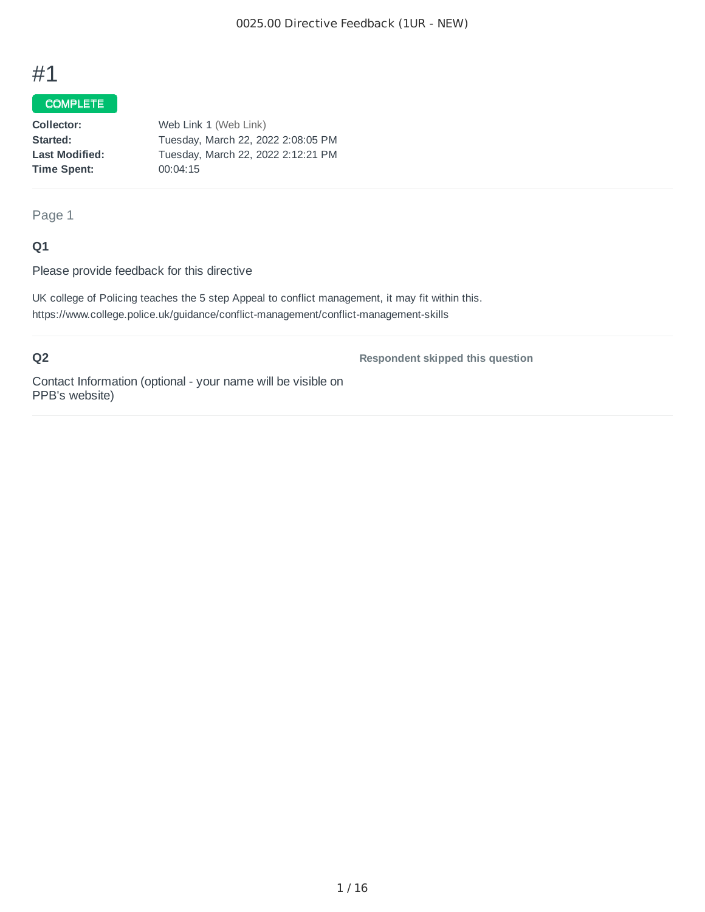## COMPLETE

| Collector:            | Web Link 1 (Web Link)              |
|-----------------------|------------------------------------|
| Started:              | Tuesday, March 22, 2022 2:08:05 PM |
| <b>Last Modified:</b> | Tuesday, March 22, 2022 2:12:21 PM |
| Time Spent:           | 00:04:15                           |
|                       |                                    |

## Page 1

## **Q1**

Please provide feedback for this directive

UK college of Policing teaches the 5 step Appeal to conflict management, it may fit within this. https://www.college.police.uk/guidance/conflict-management/conflict-management-skills

## **Q2**

**Respondent skipped this question**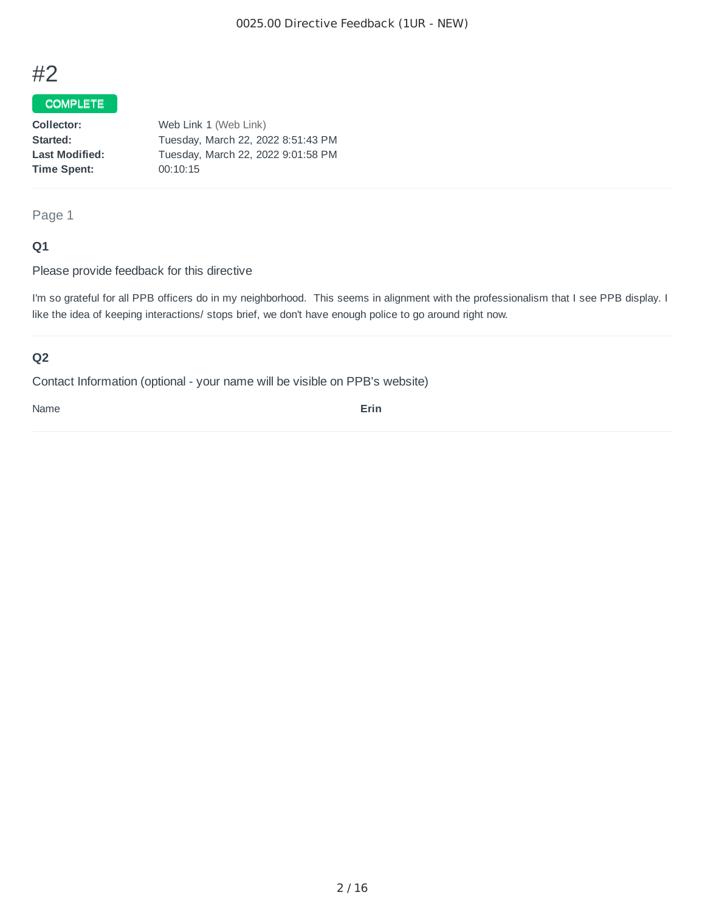## COMPLETE

| Web Link 1 (Web Link)              |
|------------------------------------|
| Tuesday, March 22, 2022 8:51:43 PM |
| Tuesday, March 22, 2022 9:01:58 PM |
| 00:10:15                           |
|                                    |

## Page 1

## **Q1**

Please provide feedback for this directive

I'm so grateful for all PPB officers do in my neighborhood. This seems in alignment with the professionalism that I see PPB display. I like the idea of keeping interactions/ stops brief, we don't have enough police to go around right now.

## **Q2**

Contact Information (optional - your name will be visible on PPB's website)

Name **Erin**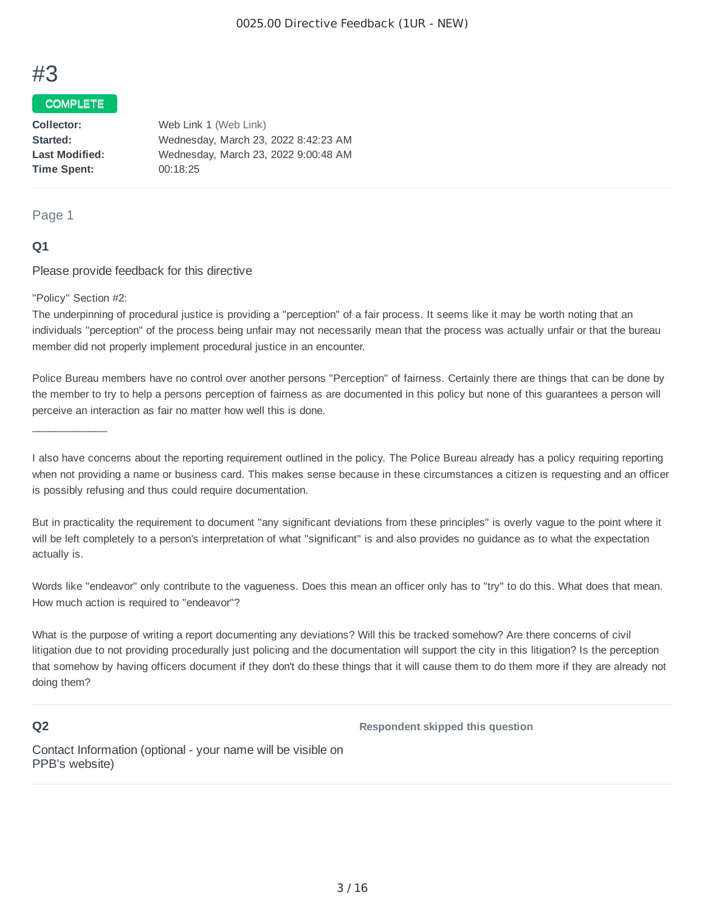#### COMPLETE

**Collector:** Web Link 1 (Web Link) **Started:** Wednesday, March 23, 2022 8:42:23 AM **Last Modified:** Wednesday, March 23, 2022 9:00:48 AM **Time Spent:** 00:18:25

#### Page 1

## **Q1**

Please provide feedback for this directive

"Policy" Section #2:

 $\mathcal{L}_\text{max}$  and  $\mathcal{L}_\text{max}$ 

The underpinning of procedural justice is providing a "perception" of a fair process. It seems like it may be worth noting that an individuals "perception" of the process being unfair may not necessarily mean that the process was actually unfair or that the bureau member did not properly implement procedural justice in an encounter.

Police Bureau members have no control over another persons "Perception" of fairness. Certainly there are things that can be done by the member to try to help a persons perception of fairness as are documented in this policy but none of this guarantees a person will perceive an interaction as fair no matter how well this is done.

I also have concerns about the reporting requirement outlined in the policy. The Police Bureau already has a policy requiring reporting when not providing a name or business card. This makes sense because in these circumstances a citizen is requesting and an officer is possibly refusing and thus could require documentation.

But in practicality the requirement to document "any significant deviations from these principles" is overly vague to the point where it will be left completely to a person's interpretation of what "significant" is and also provides no guidance as to what the expectation actually is.

Words like "endeavor" only contribute to the vagueness. Does this mean an officer only has to "try" to do this. What does that mean. How much action is required to "endeavor"?

What is the purpose of writing a report documenting any deviations? Will this be tracked somehow? Are there concerns of civil litigation due to not providing procedurally just policing and the documentation will support the city in this litigation? Is the perception that somehow by having officers document if they don't do these things that it will cause them to do them more if they are already not doing them?

#### **Q2**

**Respondent skipped this question**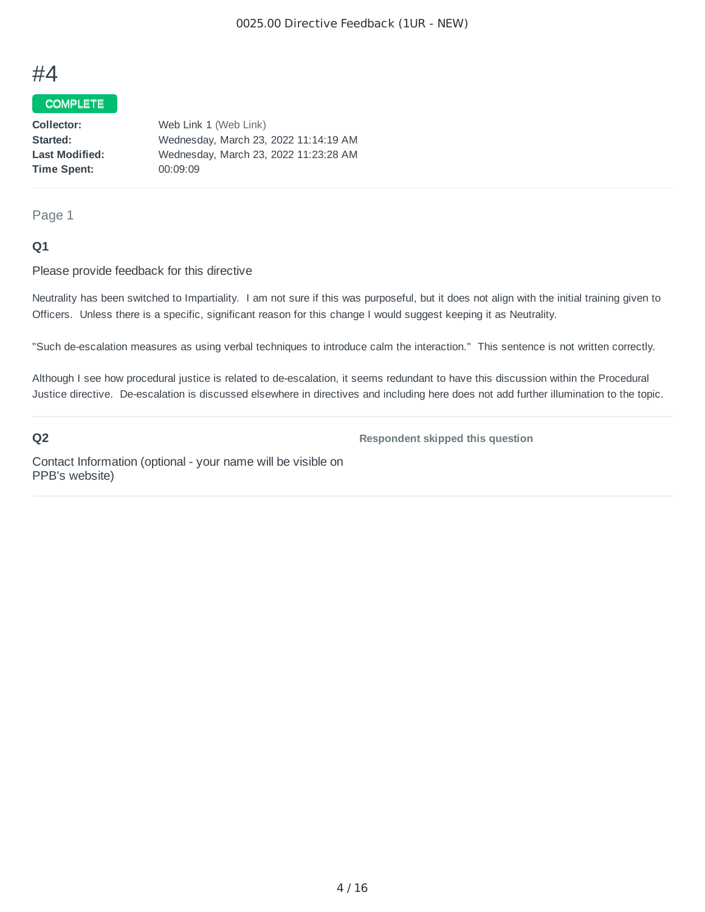## COMPLETE

| Collector:            | Web Link 1 (Web Link)                 |
|-----------------------|---------------------------------------|
| Started:              | Wednesday, March 23, 2022 11:14:19 AM |
| <b>Last Modified:</b> | Wednesday, March 23, 2022 11:23:28 AM |
| Time Spent:           | 00:09:09                              |
|                       |                                       |

#### Page 1

### **Q1**

#### Please provide feedback for this directive

Neutrality has been switched to Impartiality. I am not sure if this was purposeful, but it does not align with the initial training given to Officers. Unless there is a specific, significant reason for this change I would suggest keeping it as Neutrality.

"Such de-escalation measures as using verbal techniques to introduce calm the interaction." This sentence is not written correctly.

Although I see how procedural justice is related to de-escalation, it seems redundant to have this discussion within the Procedural Justice directive. De-escalation is discussed elsewhere in directives and including here does not add further illumination to the topic.

#### **Q2**

**Respondent skipped this question**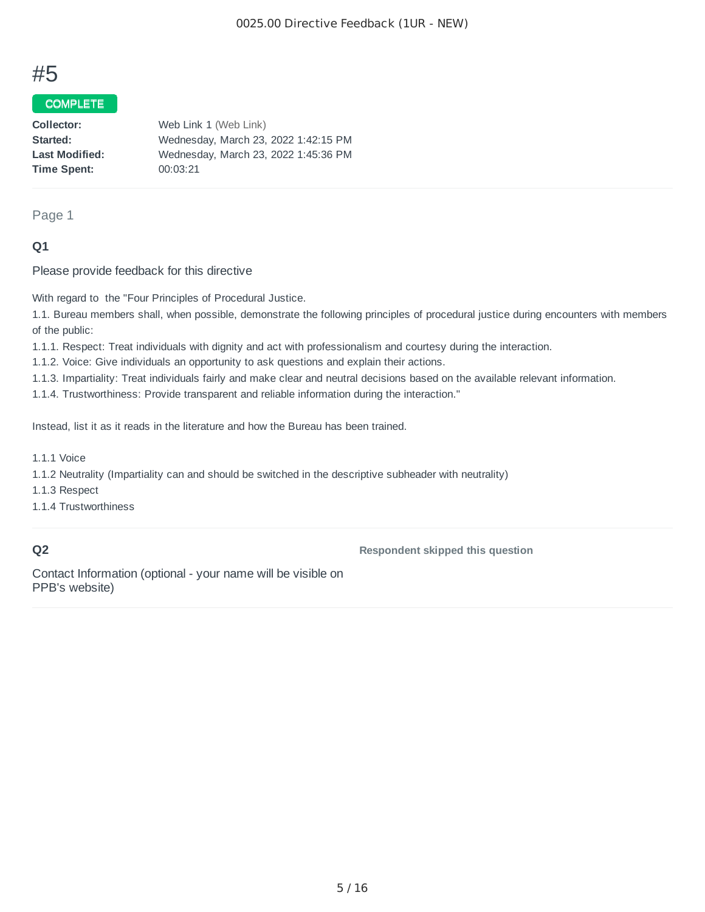## COMPLETE

| Collector:            | Web Link 1 (Web Link)                |
|-----------------------|--------------------------------------|
| Started:              | Wednesday, March 23, 2022 1:42:15 PM |
| <b>Last Modified:</b> | Wednesday, March 23, 2022 1:45:36 PM |
| Time Spent:           | 00:03:21                             |
|                       |                                      |

#### Page 1

## **Q1**

Please provide feedback for this directive

With regard to the "Four Principles of Procedural Justice.

1.1. Bureau members shall, when possible, demonstrate the following principles of procedural justice during encounters with members of the public:

1.1.1. Respect: Treat individuals with dignity and act with professionalism and courtesy during the interaction.

1.1.2. Voice: Give individuals an opportunity to ask questions and explain their actions.

1.1.3. Impartiality: Treat individuals fairly and make clear and neutral decisions based on the available relevant information.

1.1.4. Trustworthiness: Provide transparent and reliable information during the interaction."

Instead, list it as it reads in the literature and how the Bureau has been trained.

1.1.1 Voice

1.1.2 Neutrality (Impartiality can and should be switched in the descriptive subheader with neutrality)

1.1.3 Respect

1.1.4 Trustworthiness

### **Q2**

**Respondent skipped this question**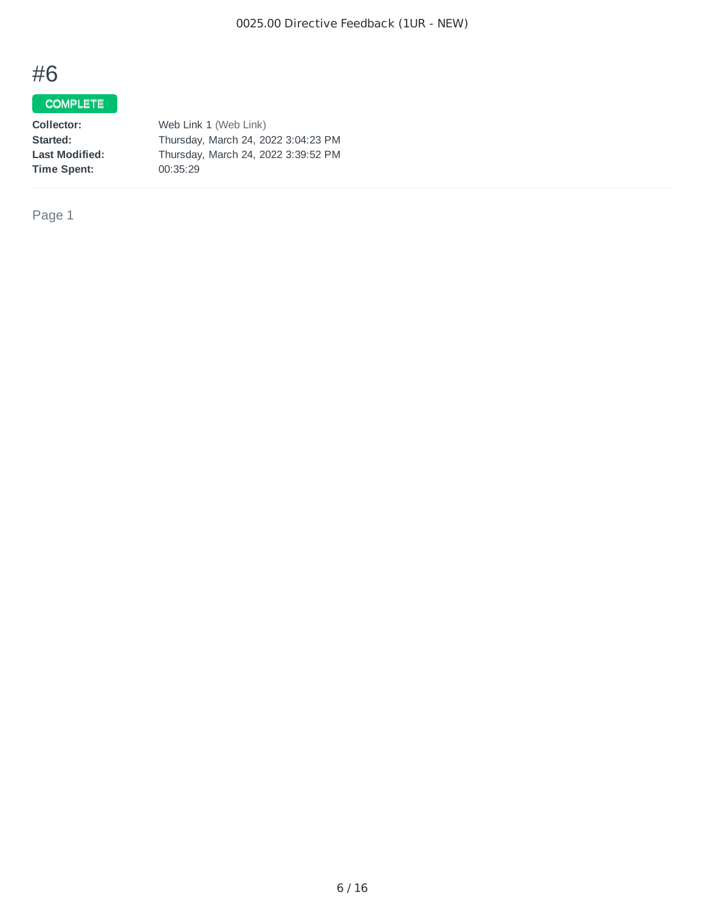## COMPLETE

| Web Link 1 (Web Link)               |
|-------------------------------------|
| Thursday, March 24, 2022 3:04:23 PM |
| Thursday, March 24, 2022 3:39:52 PM |
| 00:35:29                            |
|                                     |

Page 1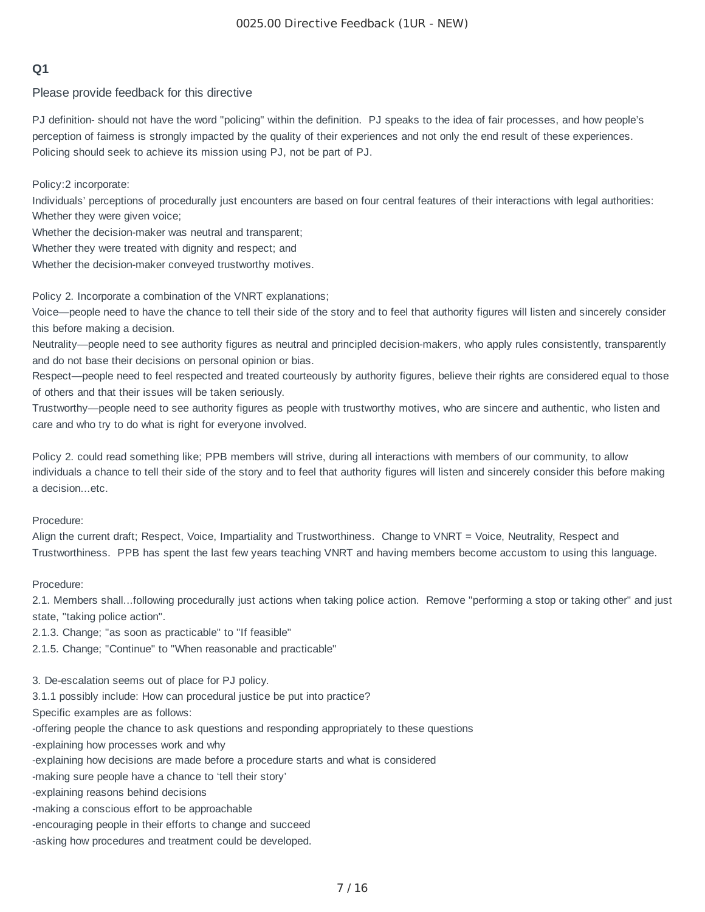## **Q1**

Please provide feedback for this directive

PJ definition- should not have the word "policing" within the definition. PJ speaks to the idea of fair processes, and how people's perception of fairness is strongly impacted by the quality of their experiences and not only the end result of these experiences. Policing should seek to achieve its mission using PJ, not be part of PJ.

Policy:2 incorporate:

Individuals' perceptions of procedurally just encounters are based on four central features of their interactions with legal authorities: Whether they were given voice;

Whether the decision-maker was neutral and transparent;

Whether they were treated with dignity and respect; and

Whether the decision-maker conveyed trustworthy motives.

Policy 2. Incorporate a combination of the VNRT explanations;

Voice—people need to have the chance to tell their side of the story and to feel that authority figures will listen and sincerely consider this before making a decision.

Neutrality—people need to see authority figures as neutral and principled decision-makers, who apply rules consistently, transparently and do not base their decisions on personal opinion or bias.

Respect—people need to feel respected and treated courteously by authority figures, believe their rights are considered equal to those of others and that their issues will be taken seriously.

Trustworthy—people need to see authority figures as people with trustworthy motives, who are sincere and authentic, who listen and care and who try to do what is right for everyone involved.

Policy 2. could read something like; PPB members will strive, during all interactions with members of our community, to allow individuals a chance to tell their side of the story and to feel that authority figures will listen and sincerely consider this before making a decision...etc.

#### Procedure:

Align the current draft; Respect, Voice, Impartiality and Trustworthiness. Change to VNRT = Voice, Neutrality, Respect and Trustworthiness. PPB has spent the last few years teaching VNRT and having members become accustom to using this language.

#### Procedure:

2.1. Members shall...following procedurally just actions when taking police action. Remove "performing a stop or taking other" and just state, "taking police action".

2.1.3. Change; "as soon as practicable" to "If feasible"

2.1.5. Change; "Continue" to "When reasonable and practicable"

3. De-escalation seems out of place for PJ policy.

3.1.1 possibly include: How can procedural justice be put into practice?

Specific examples are as follows:

-offering people the chance to ask questions and responding appropriately to these questions

-explaining how processes work and why

-explaining how decisions are made before a procedure starts and what is considered

-making sure people have a chance to 'tell their story'

- -explaining reasons behind decisions
- -making a conscious effort to be approachable
- -encouraging people in their efforts to change and succeed

-asking how procedures and treatment could be developed.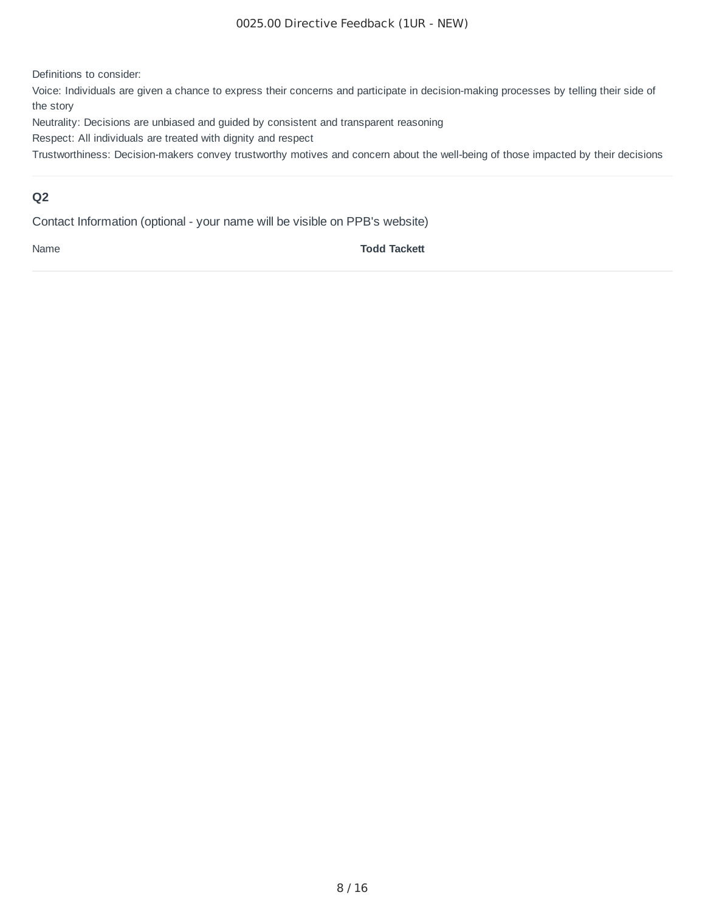Definitions to consider:

Voice: Individuals are given a chance to express their concerns and participate in decision-making processes by telling their side of the story

Neutrality: Decisions are unbiased and guided by consistent and transparent reasoning

Respect: All individuals are treated with dignity and respect

Trustworthiness: Decision-makers convey trustworthy motives and concern about the well-being of those impacted by their decisions

## **Q2**

Contact Information (optional - your name will be visible on PPB's website)

Name **Todd Tackett**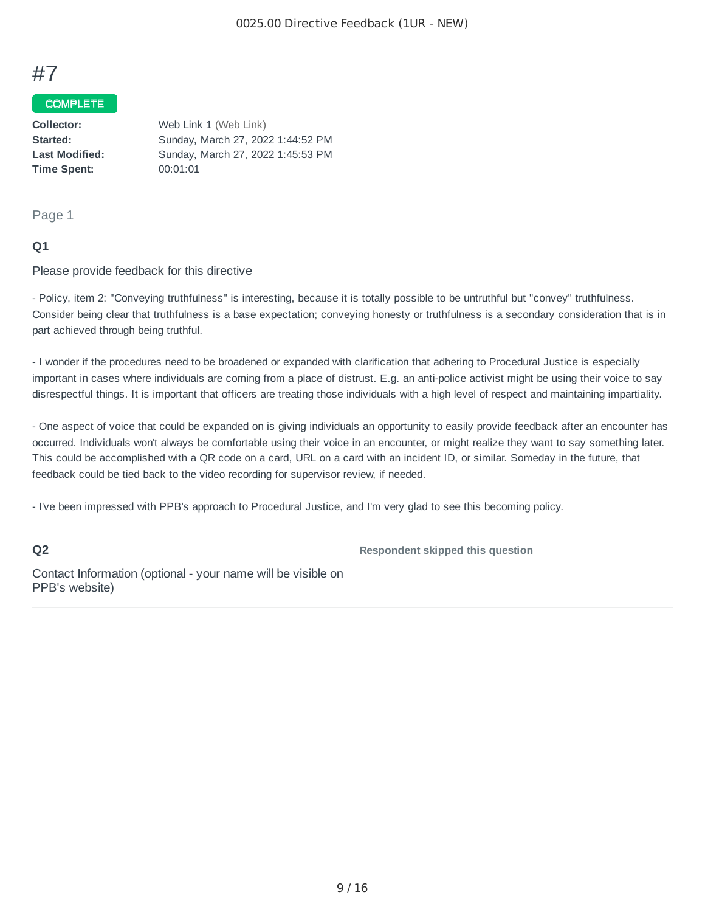## COMPLETE

| Web Link 1 (Web Link)             |
|-----------------------------------|
| Sunday, March 27, 2022 1:44:52 PM |
| Sunday, March 27, 2022 1:45:53 PM |
| 00:01:01                          |
|                                   |

#### Page 1

## **Q1**

Please provide feedback for this directive

- Policy, item 2: "Conveying truthfulness" is interesting, because it is totally possible to be untruthful but "convey" truthfulness. Consider being clear that truthfulness is a base expectation; conveying honesty or truthfulness is a secondary consideration that is in part achieved through being truthful.

- I wonder if the procedures need to be broadened or expanded with clarification that adhering to Procedural Justice is especially important in cases where individuals are coming from a place of distrust. E.g. an anti-police activist might be using their voice to say disrespectful things. It is important that officers are treating those individuals with a high level of respect and maintaining impartiality.

- One aspect of voice that could be expanded on is giving individuals an opportunity to easily provide feedback after an encounter has occurred. Individuals won't always be comfortable using their voice in an encounter, or might realize they want to say something later. This could be accomplished with a QR code on a card, URL on a card with an incident ID, or similar. Someday in the future, that feedback could be tied back to the video recording for supervisor review, if needed.

- I've been impressed with PPB's approach to Procedural Justice, and I'm very glad to see this becoming policy.

#### **Q2**

**Respondent skipped this question**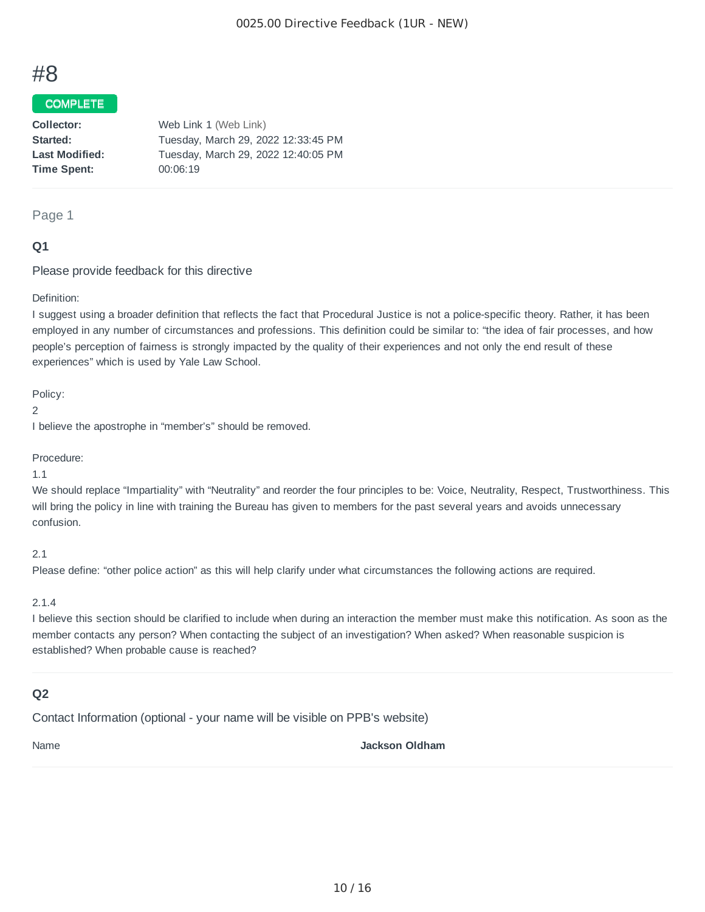### COMPLETE

| Collector:            | Web Link 1 (Web Link)               |
|-----------------------|-------------------------------------|
| Started:              | Tuesday, March 29, 2022 12:33:45 PM |
| <b>Last Modified:</b> | Tuesday, March 29, 2022 12:40:05 PM |
| <b>Time Spent:</b>    | 00:06:19                            |
|                       |                                     |

#### Page 1

## **Q1**

Please provide feedback for this directive

#### Definition:

I suggest using a broader definition that reflects the fact that Procedural Justice is not a police-specific theory. Rather, it has been employed in any number of circumstances and professions. This definition could be similar to: "the idea of fair processes, and how people's perception of fairness is strongly impacted by the quality of their experiences and not only the end result of these experiences" which is used by Yale Law School.

Policy:

2

I believe the apostrophe in "member's" should be removed.

Procedure:

#### 1.1

We should replace "Impartiality" with "Neutrality" and reorder the four principles to be: Voice, Neutrality, Respect, Trustworthiness. This will bring the policy in line with training the Bureau has given to members for the past several years and avoids unnecessary confusion.

2.1

Please define: "other police action" as this will help clarify under what circumstances the following actions are required.

#### 2.1.4

I believe this section should be clarified to include when during an interaction the member must make this notification. As soon as the member contacts any person? When contacting the subject of an investigation? When asked? When reasonable suspicion is established? When probable cause is reached?

## **Q2**

Contact Information (optional - your name will be visible on PPB's website)

Name **Jackson Oldham**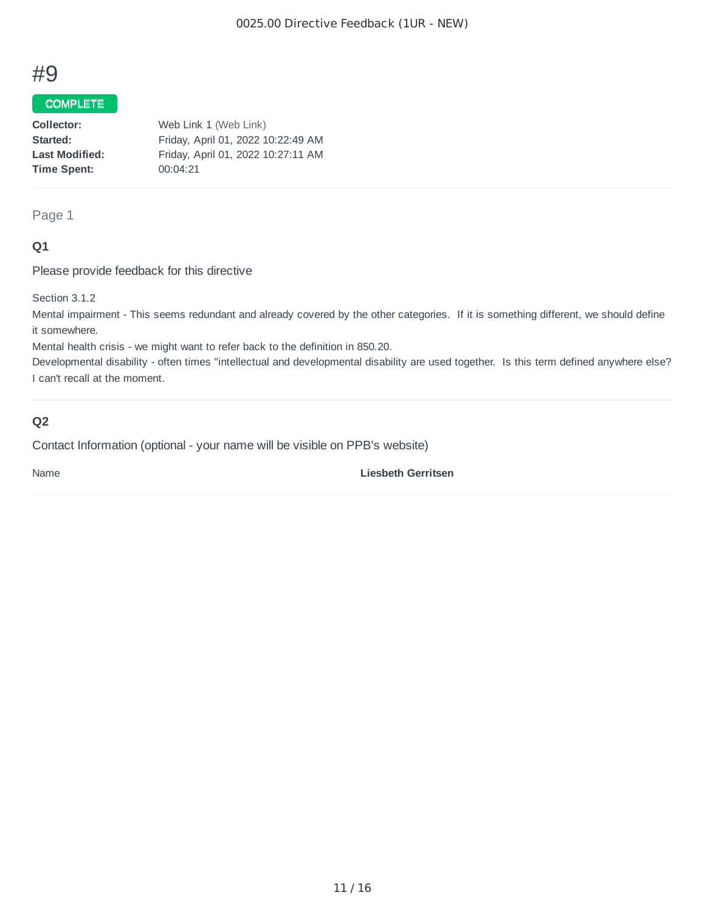## COMPLETE

| Collector:            | Web Link 1 (Web Link)              |
|-----------------------|------------------------------------|
| Started:              | Friday, April 01, 2022 10:22:49 AM |
| <b>Last Modified:</b> | Friday, April 01, 2022 10:27:11 AM |
| Time Spent:           | 00:04:21                           |
|                       |                                    |

### Page 1

## **Q1**

Please provide feedback for this directive

Section 3.1.2

Mental impairment - This seems redundant and already covered by the other categories. If it is something different, we should define it somewhere.

Mental health crisis - we might want to refer back to the definition in 850.20.

Developmental disability - often times "intellectual and developmental disability are used together. Is this term defined anywhere else? I can't recall at the moment.

## **Q2**

Contact Information (optional - your name will be visible on PPB's website)

Name **Liesbeth Gerritsen**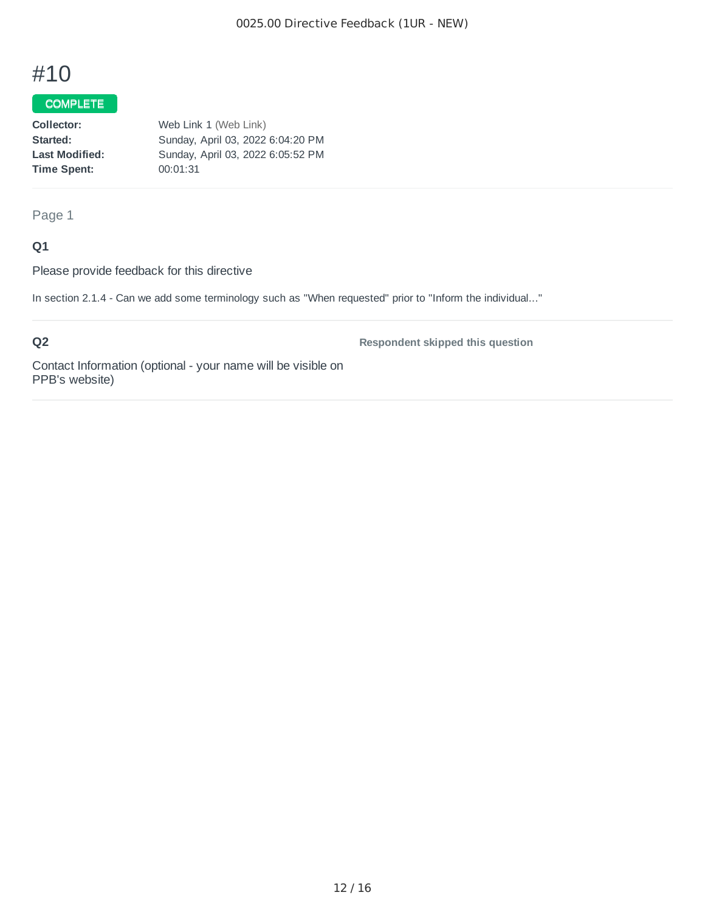## COMPLETE

| Web Link 1 (Web Link)             |
|-----------------------------------|
| Sunday, April 03, 2022 6:04:20 PM |
| Sunday, April 03, 2022 6:05:52 PM |
| 00:01:31                          |
|                                   |

## Page 1

## **Q1**

Please provide feedback for this directive

In section 2.1.4 - Can we add some terminology such as "When requested" prior to "Inform the individual..."

## **Q2**

**Respondent skipped this question**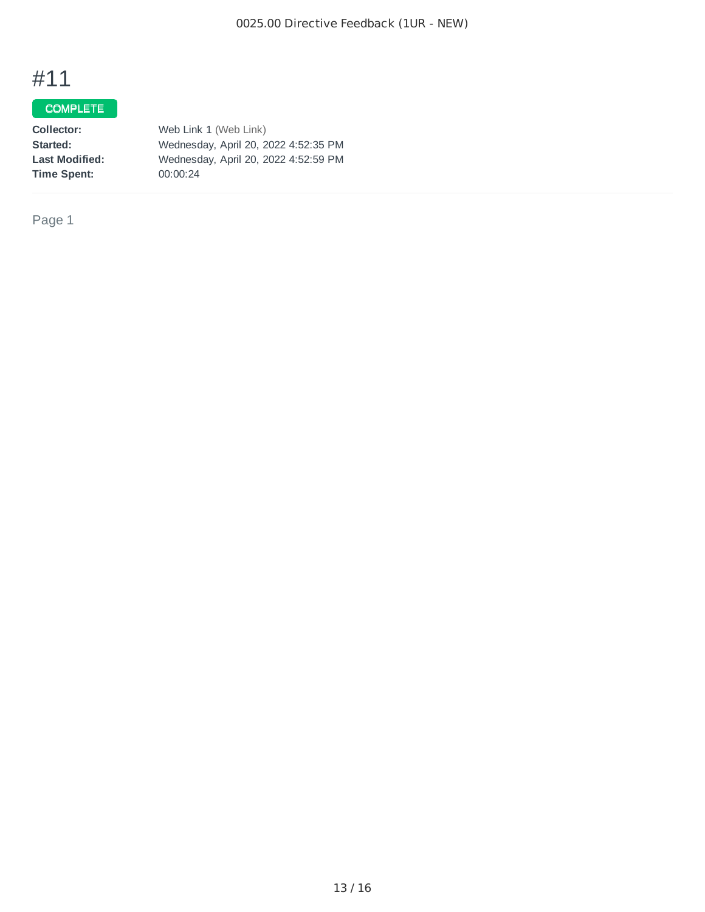## COMPLETE

| Collector:            | Web Link 1 (Web Link)                |
|-----------------------|--------------------------------------|
| Started:              | Wednesday, April 20, 2022 4:52:35 PM |
| <b>Last Modified:</b> | Wednesday, April 20, 2022 4:52:59 PM |
| Time Spent:           | 00:00:24                             |

Page 1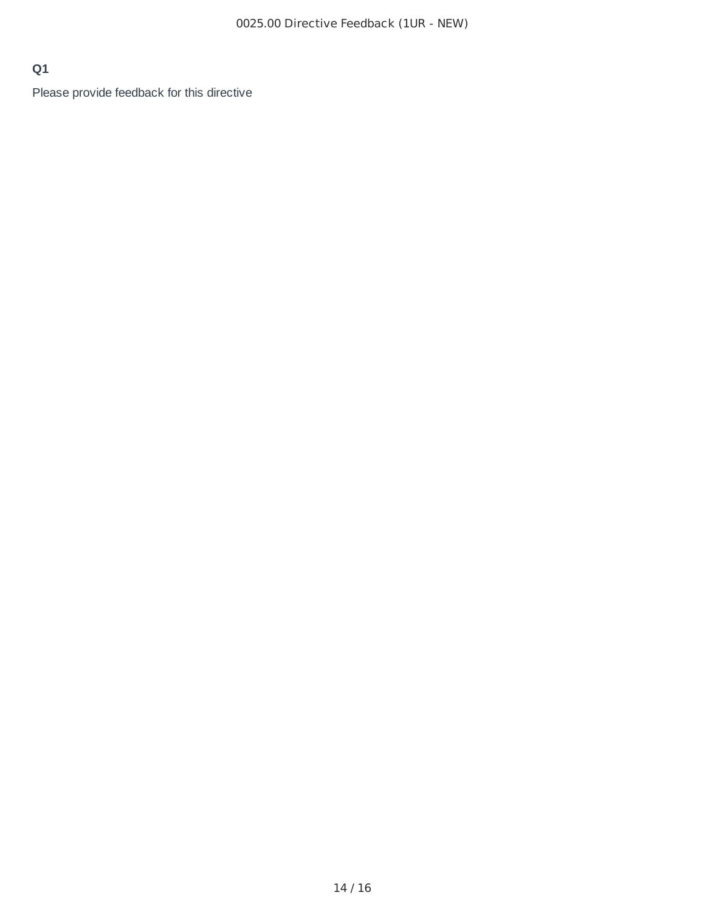## **Q1**

Please provide feedback for this directive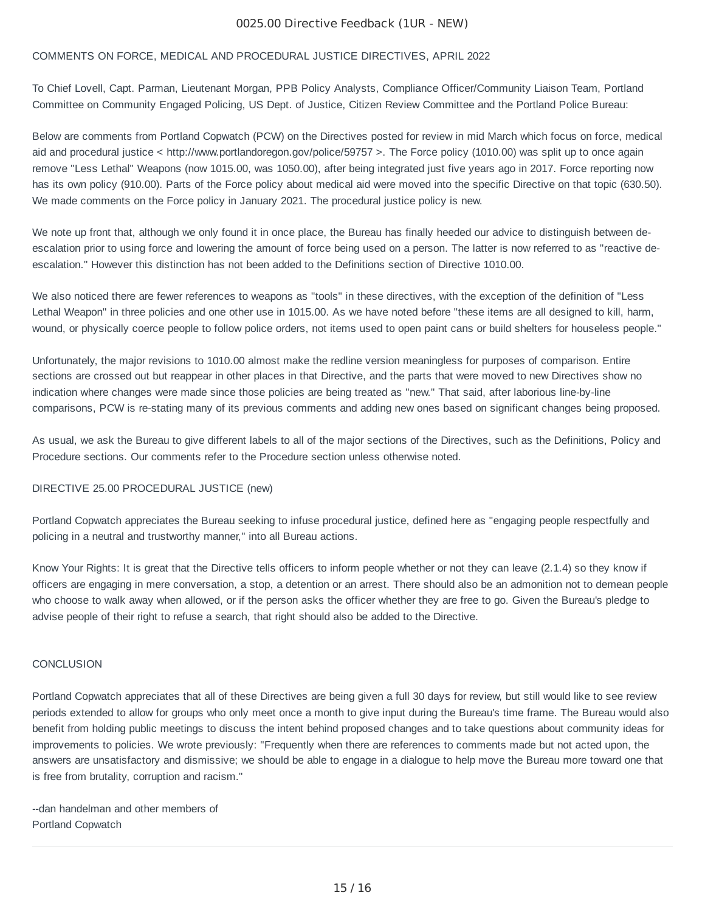#### 0025.00 Directive Feedback (1UR - NEW)

#### COMMENTS ON FORCE, MEDICAL AND PROCEDURAL JUSTICE DIRECTIVES, APRIL 2022

To Chief Lovell, Capt. Parman, Lieutenant Morgan, PPB Policy Analysts, Compliance Officer/Community Liaison Team, Portland Committee on Community Engaged Policing, US Dept. of Justice, Citizen Review Committee and the Portland Police Bureau:

Below are comments from Portland Copwatch (PCW) on the Directives posted for review in mid March which focus on force, medical aid and procedural justice < http://www.portlandoregon.gov/police/59757 >. The Force policy (1010.00) was split up to once again remove "Less Lethal" Weapons (now 1015.00, was 1050.00), after being integrated just five years ago in 2017. Force reporting now has its own policy (910.00). Parts of the Force policy about medical aid were moved into the specific Directive on that topic (630.50). We made comments on the Force policy in January 2021. The procedural justice policy is new.

We note up front that, although we only found it in once place, the Bureau has finally heeded our advice to distinguish between deescalation prior to using force and lowering the amount of force being used on a person. The latter is now referred to as "reactive deescalation." However this distinction has not been added to the Definitions section of Directive 1010.00.

We also noticed there are fewer references to weapons as "tools" in these directives, with the exception of the definition of "Less Lethal Weapon" in three policies and one other use in 1015.00. As we have noted before "these items are all designed to kill, harm, wound, or physically coerce people to follow police orders, not items used to open paint cans or build shelters for houseless people."

Unfortunately, the major revisions to 1010.00 almost make the redline version meaningless for purposes of comparison. Entire sections are crossed out but reappear in other places in that Directive, and the parts that were moved to new Directives show no indication where changes were made since those policies are being treated as "new." That said, after laborious line-by-line comparisons, PCW is re-stating many of its previous comments and adding new ones based on significant changes being proposed.

As usual, we ask the Bureau to give different labels to all of the major sections of the Directives, such as the Definitions, Policy and Procedure sections. Our comments refer to the Procedure section unless otherwise noted.

#### DIRECTIVE 25.00 PROCEDURAL JUSTICE (new)

Portland Copwatch appreciates the Bureau seeking to infuse procedural justice, defined here as "engaging people respectfully and policing in a neutral and trustworthy manner," into all Bureau actions.

Know Your Rights: It is great that the Directive tells officers to inform people whether or not they can leave (2.1.4) so they know if officers are engaging in mere conversation, a stop, a detention or an arrest. There should also be an admonition not to demean people who choose to walk away when allowed, or if the person asks the officer whether they are free to go. Given the Bureau's pledge to advise people of their right to refuse a search, that right should also be added to the Directive.

#### **CONCLUSION**

Portland Copwatch appreciates that all of these Directives are being given a full 30 days for review, but still would like to see review periods extended to allow for groups who only meet once a month to give input during the Bureau's time frame. The Bureau would also benefit from holding public meetings to discuss the intent behind proposed changes and to take questions about community ideas for improvements to policies. We wrote previously: "Frequently when there are references to comments made but not acted upon, the answers are unsatisfactory and dismissive; we should be able to engage in a dialogue to help move the Bureau more toward one that is free from brutality, corruption and racism."

--dan handelman and other members of Portland Copwatch